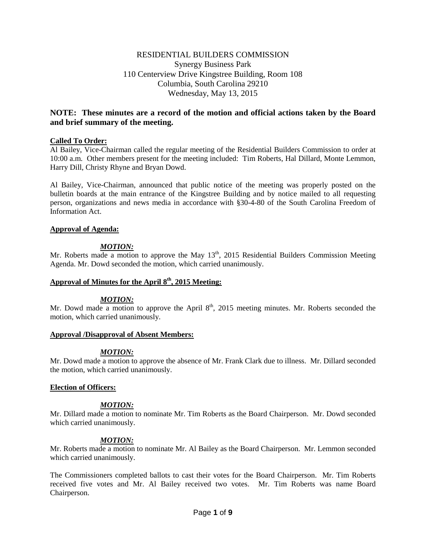# RESIDENTIAL BUILDERS COMMISSION Synergy Business Park 110 Centerview Drive Kingstree Building, Room 108 Columbia, South Carolina 29210 Wednesday, May 13, 2015

# **NOTE: These minutes are a record of the motion and official actions taken by the Board and brief summary of the meeting.**

## **Called To Order:**

Al Bailey, Vice-Chairman called the regular meeting of the Residential Builders Commission to order at 10:00 a.m. Other members present for the meeting included: Tim Roberts, Hal Dillard, Monte Lemmon, Harry Dill, Christy Rhyne and Bryan Dowd.

Al Bailey, Vice-Chairman, announced that public notice of the meeting was properly posted on the bulletin boards at the main entrance of the Kingstree Building and by notice mailed to all requesting person, organizations and news media in accordance with §30-4-80 of the South Carolina Freedom of Information Act.

### **Approval of Agenda:**

## *MOTION:*

Mr. Roberts made a motion to approve the May  $13<sup>th</sup>$ , 2015 Residential Builders Commission Meeting Agenda. Mr. Dowd seconded the motion, which carried unanimously.

# **Approval of Minutes for the April 8th, 2015 Meeting:**

### *MOTION:*

Mr. Dowd made a motion to approve the April  $8<sup>th</sup>$ , 2015 meeting minutes. Mr. Roberts seconded the motion, which carried unanimously.

### **Approval /Disapproval of Absent Members:**

## *MOTION:*

Mr. Dowd made a motion to approve the absence of Mr. Frank Clark due to illness. Mr. Dillard seconded the motion, which carried unanimously.

### **Election of Officers:**

## *MOTION:*

Mr. Dillard made a motion to nominate Mr. Tim Roberts as the Board Chairperson. Mr. Dowd seconded which carried unanimously.

## *MOTION:*

Mr. Roberts made a motion to nominate Mr. Al Bailey as the Board Chairperson. Mr. Lemmon seconded which carried unanimously.

The Commissioners completed ballots to cast their votes for the Board Chairperson. Mr. Tim Roberts received five votes and Mr. Al Bailey received two votes. Mr. Tim Roberts was name Board Chairperson.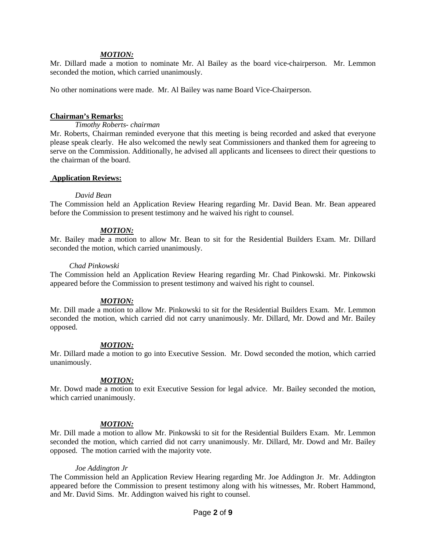#### *MOTION:*

Mr. Dillard made a motion to nominate Mr. Al Bailey as the board vice-chairperson. Mr. Lemmon seconded the motion, which carried unanimously.

No other nominations were made. Mr. Al Bailey was name Board Vice-Chairperson.

#### **Chairman's Remarks:**

*Timothy Roberts- chairman*

Mr. Roberts, Chairman reminded everyone that this meeting is being recorded and asked that everyone please speak clearly. He also welcomed the newly seat Commissioners and thanked them for agreeing to serve on the Commission. Additionally, he advised all applicants and licensees to direct their questions to the chairman of the board.

#### **Application Reviews:**

#### *David Bean*

The Commission held an Application Review Hearing regarding Mr. David Bean. Mr. Bean appeared before the Commission to present testimony and he waived his right to counsel.

#### *MOTION:*

Mr. Bailey made a motion to allow Mr. Bean to sit for the Residential Builders Exam. Mr. Dillard seconded the motion, which carried unanimously.

#### *Chad Pinkowski*

The Commission held an Application Review Hearing regarding Mr. Chad Pinkowski. Mr. Pinkowski appeared before the Commission to present testimony and waived his right to counsel.

#### *MOTION:*

Mr. Dill made a motion to allow Mr. Pinkowski to sit for the Residential Builders Exam. Mr. Lemmon seconded the motion, which carried did not carry unanimously. Mr. Dillard, Mr. Dowd and Mr. Bailey opposed.

#### *MOTION:*

Mr. Dillard made a motion to go into Executive Session. Mr. Dowd seconded the motion, which carried unanimously.

#### *MOTION:*

Mr. Dowd made a motion to exit Executive Session for legal advice. Mr. Bailey seconded the motion, which carried unanimously.

### *MOTION:*

Mr. Dill made a motion to allow Mr. Pinkowski to sit for the Residential Builders Exam. Mr. Lemmon seconded the motion, which carried did not carry unanimously. Mr. Dillard, Mr. Dowd and Mr. Bailey opposed. The motion carried with the majority vote.

#### *Joe Addington Jr*

The Commission held an Application Review Hearing regarding Mr. Joe Addington Jr. Mr. Addington appeared before the Commission to present testimony along with his witnesses, Mr. Robert Hammond, and Mr. David Sims. Mr. Addington waived his right to counsel.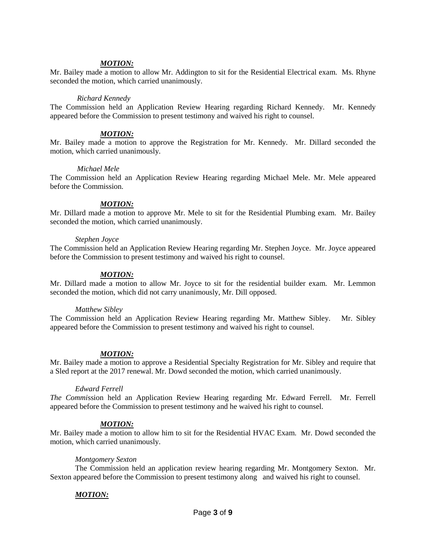#### *MOTION:*

Mr. Bailey made a motion to allow Mr. Addington to sit for the Residential Electrical exam. Ms. Rhyne seconded the motion, which carried unanimously.

#### *Richard Kennedy*

The Commission held an Application Review Hearing regarding Richard Kennedy. Mr. Kennedy appeared before the Commission to present testimony and waived his right to counsel.

#### *MOTION:*

Mr. Bailey made a motion to approve the Registration for Mr. Kennedy. Mr. Dillard seconded the motion, which carried unanimously.

#### *Michael Mele*

The Commission held an Application Review Hearing regarding Michael Mele. Mr. Mele appeared before the Commission.

#### *MOTION:*

Mr. Dillard made a motion to approve Mr. Mele to sit for the Residential Plumbing exam. Mr. Bailey seconded the motion, which carried unanimously.

#### *Stephen Joyce*

The Commission held an Application Review Hearing regarding Mr. Stephen Joyce. Mr. Joyce appeared before the Commission to present testimony and waived his right to counsel.

#### *MOTION:*

Mr. Dillard made a motion to allow Mr. Joyce to sit for the residential builder exam. Mr. Lemmon seconded the motion, which did not carry unanimously, Mr. Dill opposed.

#### *Matthew Sibley*

The Commission held an Application Review Hearing regarding Mr. Matthew Sibley. Mr. Sibley appeared before the Commission to present testimony and waived his right to counsel.

#### *MOTION:*

Mr. Bailey made a motion to approve a Residential Specialty Registration for Mr. Sibley and require that a Sled report at the 2017 renewal. Mr. Dowd seconded the motion, which carried unanimously.

#### *Edward Ferrell*

*The Commi*ssion held an Application Review Hearing regarding Mr. Edward Ferrell. Mr. Ferrell appeared before the Commission to present testimony and he waived his right to counsel.

#### *MOTION:*

Mr. Bailey made a motion to allow him to sit for the Residential HVAC Exam. Mr. Dowd seconded the motion, which carried unanimously.

#### *Montgomery Sexton*

The Commission held an application review hearing regarding Mr. Montgomery Sexton. Mr. Sexton appeared before the Commission to present testimony along and waived his right to counsel.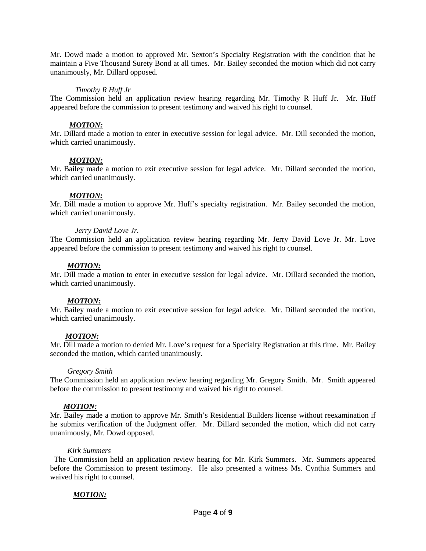Mr. Dowd made a motion to approved Mr. Sexton's Specialty Registration with the condition that he maintain a Five Thousand Surety Bond at all times. Mr. Bailey seconded the motion which did not carry unanimously, Mr. Dillard opposed.

#### *Timothy R Huff Jr*

The Commission held an application review hearing regarding Mr. Timothy R Huff Jr. Mr. Huff appeared before the commission to present testimony and waived his right to counsel.

## *MOTION:*

Mr. Dillard made a motion to enter in executive session for legal advice. Mr. Dill seconded the motion, which carried unanimously.

### *MOTION:*

Mr. Bailey made a motion to exit executive session for legal advice. Mr. Dillard seconded the motion, which carried unanimously.

### *MOTION:*

Mr. Dill made a motion to approve Mr. Huff's specialty registration. Mr. Bailey seconded the motion, which carried unanimously.

### *Jerry David Love Jr.*

The Commission held an application review hearing regarding Mr. Jerry David Love Jr. Mr. Love appeared before the commission to present testimony and waived his right to counsel.

### *MOTION:*

Mr. Dill made a motion to enter in executive session for legal advice. Mr. Dillard seconded the motion, which carried unanimously.

### *MOTION:*

Mr. Bailey made a motion to exit executive session for legal advice. Mr. Dillard seconded the motion, which carried unanimously.

### *MOTION:*

Mr. Dill made a motion to denied Mr. Love's request for a Specialty Registration at this time. Mr. Bailey seconded the motion, which carried unanimously.

### *Gregory Smith*

The Commission held an application review hearing regarding Mr. Gregory Smith. Mr. Smith appeared before the commission to present testimony and waived his right to counsel.

### *MOTION:*

Mr. Bailey made a motion to approve Mr. Smith's Residential Builders license without reexamination if he submits verification of the Judgment offer. Mr. Dillard seconded the motion, which did not carry unanimously, Mr. Dowd opposed.

### *Kirk Summers*

 The Commission held an application review hearing for Mr. Kirk Summers. Mr. Summers appeared before the Commission to present testimony. He also presented a witness Ms. Cynthia Summers and waived his right to counsel.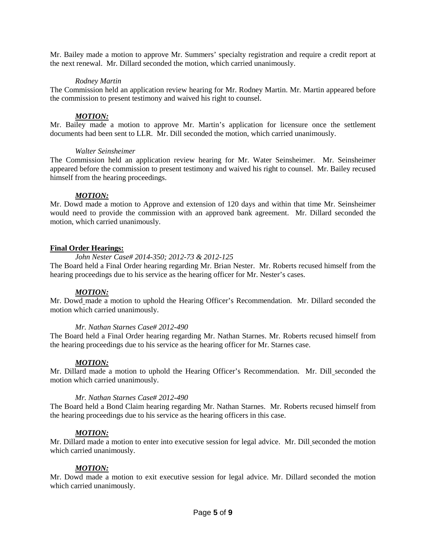Mr. Bailey made a motion to approve Mr. Summers' specialty registration and require a credit report at the next renewal. Mr. Dillard seconded the motion, which carried unanimously.

## *Rodney Martin*

The Commission held an application review hearing for Mr. Rodney Martin. Mr. Martin appeared before the commission to present testimony and waived his right to counsel.

## *MOTION:*

Mr. Bailey made a motion to approve Mr. Martin's application for licensure once the settlement documents had been sent to LLR. Mr. Dill seconded the motion, which carried unanimously.

### *Walter Seinsheimer*

The Commission held an application review hearing for Mr. Water Seinsheimer. Mr. Seinsheimer appeared before the commission to present testimony and waived his right to counsel. Mr. Bailey recused himself from the hearing proceedings.

## *MOTION:*

Mr. Dowd made a motion to Approve and extension of 120 days and within that time Mr. Seinsheimer would need to provide the commission with an approved bank agreement. Mr. Dillard seconded the motion, which carried unanimously.

## **Final Order Hearings:**

### *John Nester Case# 2014-350; 2012-73 & 2012-125*

The Board held a Final Order hearing regarding Mr. Brian Nester. Mr. Roberts recused himself from the hearing proceedings due to his service as the hearing officer for Mr. Nester's cases.

### *MOTION:*

Mr. Dowd made a motion to uphold the Hearing Officer's Recommendation. Mr. Dillard seconded the motion which carried unanimously.

### *Mr. Nathan Starnes Case# 2012-490*

The Board held a Final Order hearing regarding Mr. Nathan Starnes. Mr. Roberts recused himself from the hearing proceedings due to his service as the hearing officer for Mr. Starnes case.

### *MOTION:*

Mr. Dillard made a motion to uphold the Hearing Officer's Recommendation. Mr. Dill seconded the motion which carried unanimously.

### *Mr. Nathan Starnes Case# 2012-490*

The Board held a Bond Claim hearing regarding Mr. Nathan Starnes. Mr. Roberts recused himself from the hearing proceedings due to his service as the hearing officers in this case.

### *MOTION:*

Mr. Dillard made a motion to enter into executive session for legal advice. Mr. Dill seconded the motion which carried unanimously.

## *MOTION:*

Mr. Dowd made a motion to exit executive session for legal advice. Mr. Dillard seconded the motion which carried unanimously.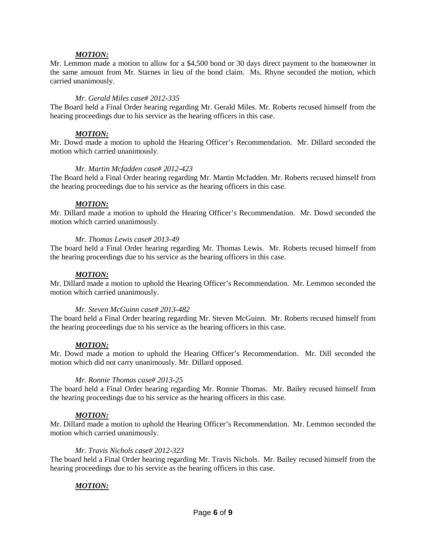#### *MOTION:*

Mr. Lemmon made a motion to allow for a \$4,500 bond or 30 days direct payment to the homeowner in the same amount from Mr. Starnes in lieu of the bond claim. Ms. Rhyne seconded the motion, which carried unanimously.

#### *Mr. Gerald Miles case# 2012-335*

The Board held a Final Order hearing regarding Mr. Gerald Miles. Mr. Roberts recused himself from the hearing proceedings due to his service as the hearing officers in this case.

#### *MOTION:*

Mr. Dowd made a motion to uphold the Hearing Officer's Recommendation. Mr. Dillard seconded the motion which carried unanimously.

#### *Mr. Martin Mcfadden case# 2012-423*

The Board held a Final Order hearing regarding Mr. Martin Mcfadden. Mr. Roberts recused himself from the hearing proceedings due to his service as the hearing officers in this case.

#### *MOTION:*

Mr. Dillard made a motion to uphold the Hearing Officer's Recommendation. Mr. Dowd seconded the motion which carried unanimously.

#### *Mr. Thomas Lewis case# 2013-49*

The board held a Final Order hearing regarding Mr. Thomas Lewis. Mr. Roberts recused himself from the hearing proceedings due to his service as the hearing officers in this case.

#### *MOTION:*

Mr. Dillard made a motion to uphold the Hearing Officer's Recommendation. Mr. Lemmon seconded the motion which carried unanimously.

### *Mr. Steven McGuinn case# 2013-482*

The board held a Final Order hearing regarding Mr. Steven McGuinn. Mr. Roberts recused himself from the hearing proceedings due to his service as the hearing officers in this case.

#### *MOTION:*

Mr. Dowd made a motion to uphold the Hearing Officer's Recommendation. Mr. Dill seconded the motion which did not carry unanimously. Mr. Dillard opposed.

#### *Mr. Ronnie Thomas case# 2013-25*

The board held a Final Order hearing regarding Mr. Ronnie Thomas. Mr. Bailey recused himself from the hearing proceedings due to his service as the hearing officers in this case.

### *MOTION:*

Mr. Dillard made a motion to uphold the Hearing Officer's Recommendation. Mr. Lemmon seconded the motion which carried unanimously.

#### *Mr. Travis Nichols case# 2012-323*

The board held a Final Order hearing regarding Mr. Travis Nichols. Mr. Bailey recused himself from the hearing proceedings due to his service as the hearing officers in this case.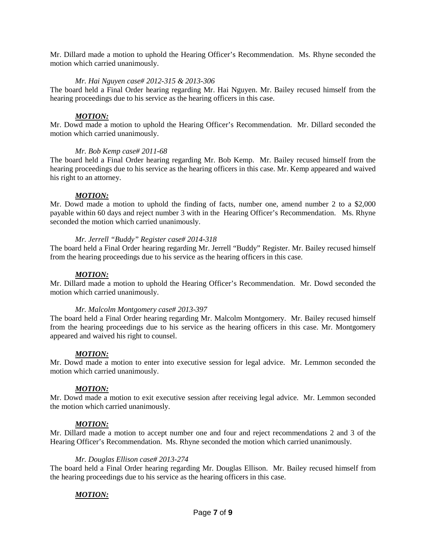Mr. Dillard made a motion to uphold the Hearing Officer's Recommendation. Ms. Rhyne seconded the motion which carried unanimously.

### *Mr. Hai Nguyen case# 2012-315 & 2013-306*

The board held a Final Order hearing regarding Mr. Hai Nguyen. Mr. Bailey recused himself from the hearing proceedings due to his service as the hearing officers in this case.

#### *MOTION:*

Mr. Dowd made a motion to uphold the Hearing Officer's Recommendation. Mr. Dillard seconded the motion which carried unanimously.

#### *Mr. Bob Kemp case# 2011-68*

The board held a Final Order hearing regarding Mr. Bob Kemp. Mr. Bailey recused himself from the hearing proceedings due to his service as the hearing officers in this case. Mr. Kemp appeared and waived his right to an attorney.

#### *MOTION:*

Mr. Dowd made a motion to uphold the finding of facts, number one, amend number 2 to a \$2,000 payable within 60 days and reject number 3 with in the Hearing Officer's Recommendation. Ms. Rhyne seconded the motion which carried unanimously.

### *Mr. Jerrell "Buddy" Register case# 2014-318*

The board held a Final Order hearing regarding Mr. Jerrell "Buddy" Register. Mr. Bailey recused himself from the hearing proceedings due to his service as the hearing officers in this case.

#### *MOTION:*

Mr. Dillard made a motion to uphold the Hearing Officer's Recommendation. Mr. Dowd seconded the motion which carried unanimously.

### *Mr. Malcolm Montgomery case# 2013-397*

The board held a Final Order hearing regarding Mr. Malcolm Montgomery. Mr. Bailey recused himself from the hearing proceedings due to his service as the hearing officers in this case. Mr. Montgomery appeared and waived his right to counsel.

### *MOTION:*

Mr. Dowd made a motion to enter into executive session for legal advice. Mr. Lemmon seconded the motion which carried unanimously.

### *MOTION:*

Mr. Dowd made a motion to exit executive session after receiving legal advice. Mr. Lemmon seconded the motion which carried unanimously.

### *MOTION:*

Mr. Dillard made a motion to accept number one and four and reject recommendations 2 and 3 of the Hearing Officer's Recommendation. Ms. Rhyne seconded the motion which carried unanimously.

#### *Mr. Douglas Ellison case# 2013-274*

The board held a Final Order hearing regarding Mr. Douglas Ellison. Mr. Bailey recused himself from the hearing proceedings due to his service as the hearing officers in this case.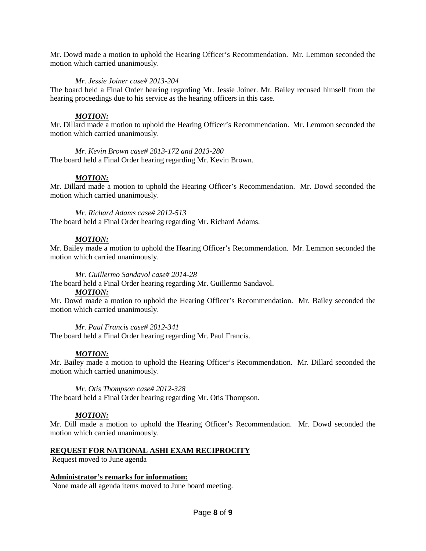Mr. Dowd made a motion to uphold the Hearing Officer's Recommendation. Mr. Lemmon seconded the motion which carried unanimously.

## *Mr. Jessie Joiner case# 2013-204*

The board held a Final Order hearing regarding Mr. Jessie Joiner. Mr. Bailey recused himself from the hearing proceedings due to his service as the hearing officers in this case.

## *MOTION:*

Mr. Dillard made a motion to uphold the Hearing Officer's Recommendation. Mr. Lemmon seconded the motion which carried unanimously.

*Mr. Kevin Brown case# 2013-172 and 2013-280* The board held a Final Order hearing regarding Mr. Kevin Brown.

## *MOTION:*

Mr. Dillard made a motion to uphold the Hearing Officer's Recommendation. Mr. Dowd seconded the motion which carried unanimously.

*Mr. Richard Adams case# 2012-513* The board held a Final Order hearing regarding Mr. Richard Adams.

## *MOTION:*

Mr. Bailey made a motion to uphold the Hearing Officer's Recommendation. Mr. Lemmon seconded the motion which carried unanimously.

### *Mr. Guillermo Sandavol case# 2014-28*

The board held a Final Order hearing regarding Mr. Guillermo Sandavol.

### *MOTION:*

Mr. Dowd made a motion to uphold the Hearing Officer's Recommendation. Mr. Bailey seconded the motion which carried unanimously.

### *Mr. Paul Francis case# 2012-341*

The board held a Final Order hearing regarding Mr. Paul Francis.

### *MOTION:*

Mr. Bailey made a motion to uphold the Hearing Officer's Recommendation. Mr. Dillard seconded the motion which carried unanimously.

*Mr. Otis Thompson case# 2012-328*

The board held a Final Order hearing regarding Mr. Otis Thompson.

## *MOTION:*

Mr. Dill made a motion to uphold the Hearing Officer's Recommendation. Mr. Dowd seconded the motion which carried unanimously.

### **REQUEST FOR NATIONAL ASHI EXAM RECIPROCITY**

Request moved to June agenda

### **Administrator's remarks for information:**

None made all agenda items moved to June board meeting.